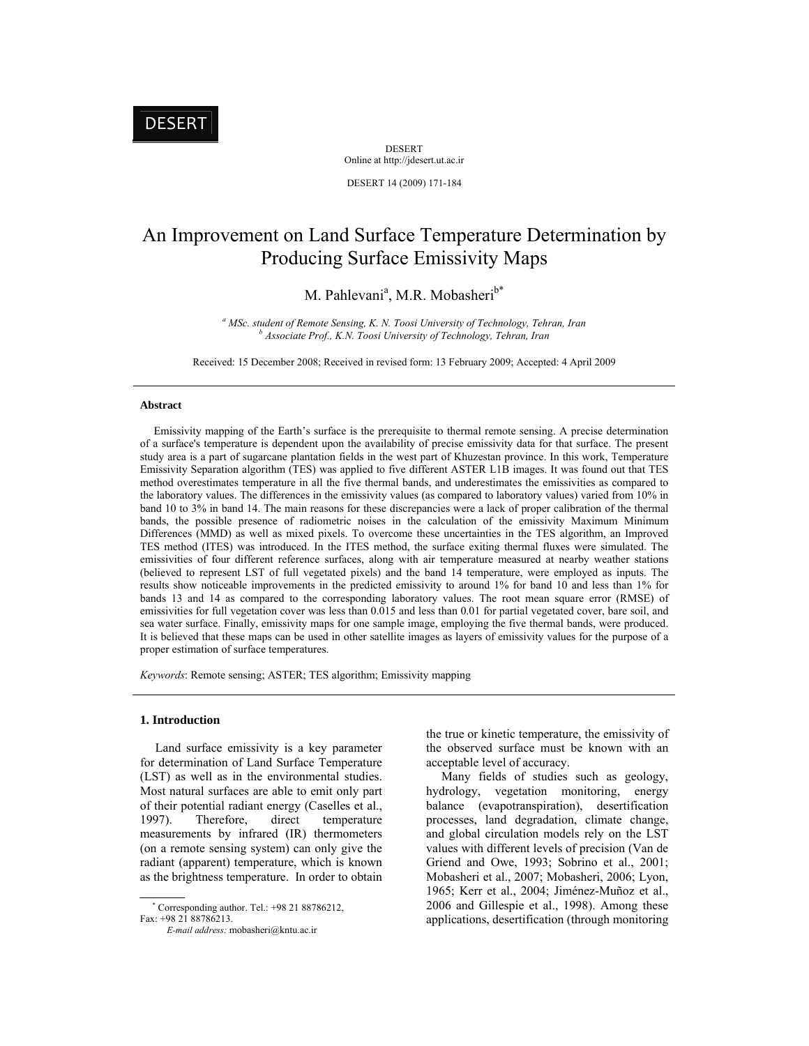DESERT Online at http://jdesert.ut.ac.ir

DESERT 14 (2009) 171-184

# An Improvement on Land Surface Temperature Determination by Producing Surface Emissivity Maps

M. Pahlevani<sup>a</sup>, M.R. Mobasheri<sup>b\*</sup>

<sup>a</sup> *MSc. student of Remote Sensing, K. N. Toosi University of Technology, Tehran, Iran*<br>*b Agossista Bush, K. N. Toosi University of Technology, Tehran, Iran Associate Prof., K.N. Toosi University of Technology, Tehran, Iran* 

Received: 15 December 2008; Received in revised form: 13 February 2009; Accepted: 4 April 2009

# **Abstract**

 Emissivity mapping of the Earth's surface is the prerequisite to thermal remote sensing. A precise determination of a surface's temperature is dependent upon the availability of precise emissivity data for that surface. The present study area is a part of sugarcane plantation fields in the west part of Khuzestan province. In this work, Temperature Emissivity Separation algorithm (TES) was applied to five different ASTER L1B images. It was found out that TES method overestimates temperature in all the five thermal bands, and underestimates the emissivities as compared to the laboratory values. The differences in the emissivity values (as compared to laboratory values) varied from 10% in band 10 to 3% in band 14. The main reasons for these discrepancies were a lack of proper calibration of the thermal bands, the possible presence of radiometric noises in the calculation of the emissivity Maximum Minimum Differences (MMD) as well as mixed pixels. To overcome these uncertainties in the TES algorithm, an Improved TES method (ITES) was introduced. In the ITES method, the surface exiting thermal fluxes were simulated. The emissivities of four different reference surfaces, along with air temperature measured at nearby weather stations (believed to represent LST of full vegetated pixels) and the band 14 temperature, were employed as inputs. The results show noticeable improvements in the predicted emissivity to around 1% for band 10 and less than 1% for bands 13 and 14 as compared to the corresponding laboratory values. The root mean square error (RMSE) of emissivities for full vegetation cover was less than 0.015 and less than 0.01 for partial vegetated cover, bare soil, and sea water surface. Finally, emissivity maps for one sample image, employing the five thermal bands, were produced. It is believed that these maps can be used in other satellite images as layers of emissivity values for the purpose of a proper estimation of surface temperatures.

*Keywords*: Remote sensing; ASTER; TES algorithm; Emissivity mapping

## **1. Introduction**

 Land surface emissivity is a key parameter for determination of Land Surface Temperature (LST) as well as in the environmental studies. Most natural surfaces are able to emit only part of their potential radiant energy (Caselles et al., 1997). Therefore, direct temperature measurements by infrared (IR) thermometers (on a remote sensing system) can only give the radiant (apparent) temperature, which is known as the brightness temperature. In order to obtain

 Corresponding author. Tel.: +98 21 88786212, Fax: +98 21 88786213.

the true or kinetic temperature, the emissivity of the observed surface must be known with an acceptable level of accuracy.

 Many fields of studies such as geology, hydrology, vegetation monitoring, energy balance (evapotranspiration), desertification processes, land degradation, climate change, and global circulation models rely on the LST values with different levels of precision (Van de Griend and Owe, 1993; Sobrino et al., 2001; Mobasheri et al., 2007; Mobasheri, 2006; Lyon, 1965; Kerr et al., 2004; Jiménez-Muñoz et al., 2006 and Gillespie et al., 1998). Among these applications, desertification (through monitoring

*E-mail address:* mobasheri@kntu.ac.ir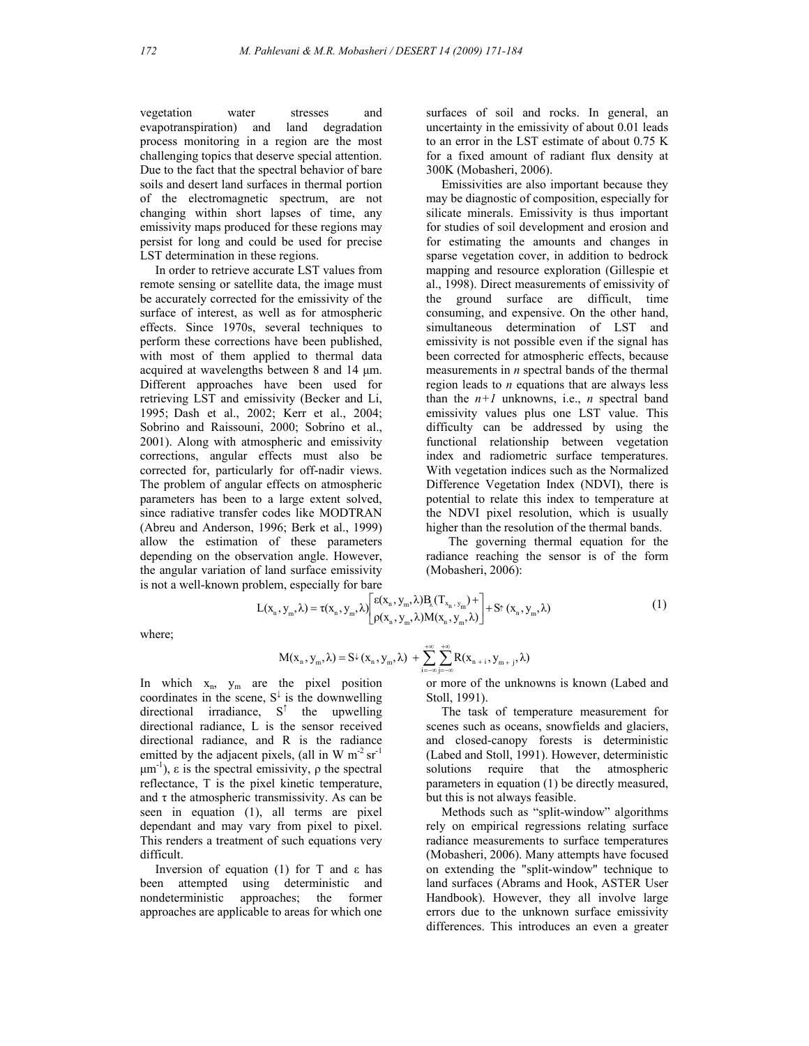vegetation water stresses and evapotranspiration) and land degradation process monitoring in a region are the most challenging topics that deserve special attention. Due to the fact that the spectral behavior of bare soils and desert land surfaces in thermal portion of the electromagnetic spectrum, are not changing within short lapses of time, any emissivity maps produced for these regions may persist for long and could be used for precise LST determination in these regions.

 In order to retrieve accurate LST values from remote sensing or satellite data, the image must be accurately corrected for the emissivity of the surface of interest, as well as for atmospheric effects. Since 1970s, several techniques to perform these corrections have been published, with most of them applied to thermal data acquired at wavelengths between 8 and 14 μm. Different approaches have been used for retrieving LST and emissivity (Becker and Li, 1995; Dash et al., 2002; Kerr et al., 2004; Sobrino and Raissouni, 2000; Sobrino et al., 2001). Along with atmospheric and emissivity corrections, angular effects must also be corrected for, particularly for off-nadir views. The problem of angular effects on atmospheric parameters has been to a large extent solved, since radiative transfer codes like MODTRAN (Abreu and Anderson, 1996; Berk et al., 1999) allow the estimation of these parameters depending on the observation angle. However, the angular variation of land surface emissivity is not a well-known problem, especially for bare surfaces of soil and rocks. In general, an uncertainty in the emissivity of about 0.01 leads to an error in the LST estimate of about 0.75 K for a fixed amount of radiant flux density at 300K (Mobasheri, 2006).

 Emissivities are also important because they may be diagnostic of composition, especially for silicate minerals. Emissivity is thus important for studies of soil development and erosion and for estimating the amounts and changes in sparse vegetation cover, in addition to bedrock mapping and resource exploration (Gillespie et al., 1998). Direct measurements of emissivity of the ground surface are difficult, time consuming, and expensive. On the other hand, simultaneous determination of LST and emissivity is not possible even if the signal has been corrected for atmospheric effects, because measurements in *n* spectral bands of the thermal region leads to *n* equations that are always less than the  $n+1$  unknowns, i.e., *n* spectral band emissivity values plus one LST value. This difficulty can be addressed by using the functional relationship between vegetation index and radiometric surface temperatures. With vegetation indices such as the Normalized Difference Vegetation Index (NDVI), there is potential to relate this index to temperature at the NDVI pixel resolution, which is usually higher than the resolution of the thermal bands.

The governing thermal equation for the radiance reaching the sensor is of the form (Mobasheri, 2006):

$$
L(x_n, y_m, \lambda) = \tau(x_n, y_m, \lambda) \left[ \begin{matrix} \epsilon(x_n, y_m, \lambda) B_{\lambda}(T_{x_n, y_m}) + \\ \rho(x_n, y_m, \lambda) M(x_n, y_m, \lambda) \end{matrix} \right] + S^{\uparrow}(x_n, y_m, \lambda)
$$
(1)

where;

$$
M(x_{_n},y_{_m},\lambda)=S\!\!\downarrow\!(x_{_n},y_{_m},\lambda)\,+\sum_{i=-\infty}^{+\infty}\!\sum_{j=-\infty}^{+\infty}\!\!R(x_{_{n\,+\,i}},y_{_{m\,+\,j}},\lambda)
$$

In which  $x_n$ ,  $y_m$  are the pixel position coordinates in the scene,  $S^{\downarrow}$  is the downwelling directional irradiance, S<sup>↑</sup> the upwelling directional radiance, L is the sensor received directional radiance, and R is the radiance emitted by the adjacent pixels, (all in W  $m^{-2}$  sr<sup>-1</sup>  $μm<sup>-1</sup>$ , ε is the spectral emissivity,  $ρ$  the spectral reflectance, T is the pixel kinetic temperature, and  $\tau$  the atmospheric transmissivity. As can be seen in equation (1), all terms are pixel dependant and may vary from pixel to pixel. This renders a treatment of such equations very difficult.

 Inversion of equation (1) for T and ε has been attempted using deterministic and nondeterministic approaches; the former approaches are applicable to areas for which one or more of the unknowns is known (Labed and Stoll, 1991).

 The task of temperature measurement for scenes such as oceans, snowfields and glaciers, and closed-canopy forests is deterministic (Labed and Stoll, 1991). However, deterministic solutions require that the atmospheric parameters in equation (1) be directly measured, but this is not always feasible.

 Methods such as "split-window" algorithms rely on empirical regressions relating surface radiance measurements to surface temperatures (Mobasheri, 2006). Many attempts have focused on extending the "split-window" technique to land surfaces (Abrams and Hook, ASTER User Handbook). However, they all involve large errors due to the unknown surface emissivity differences. This introduces an even a greater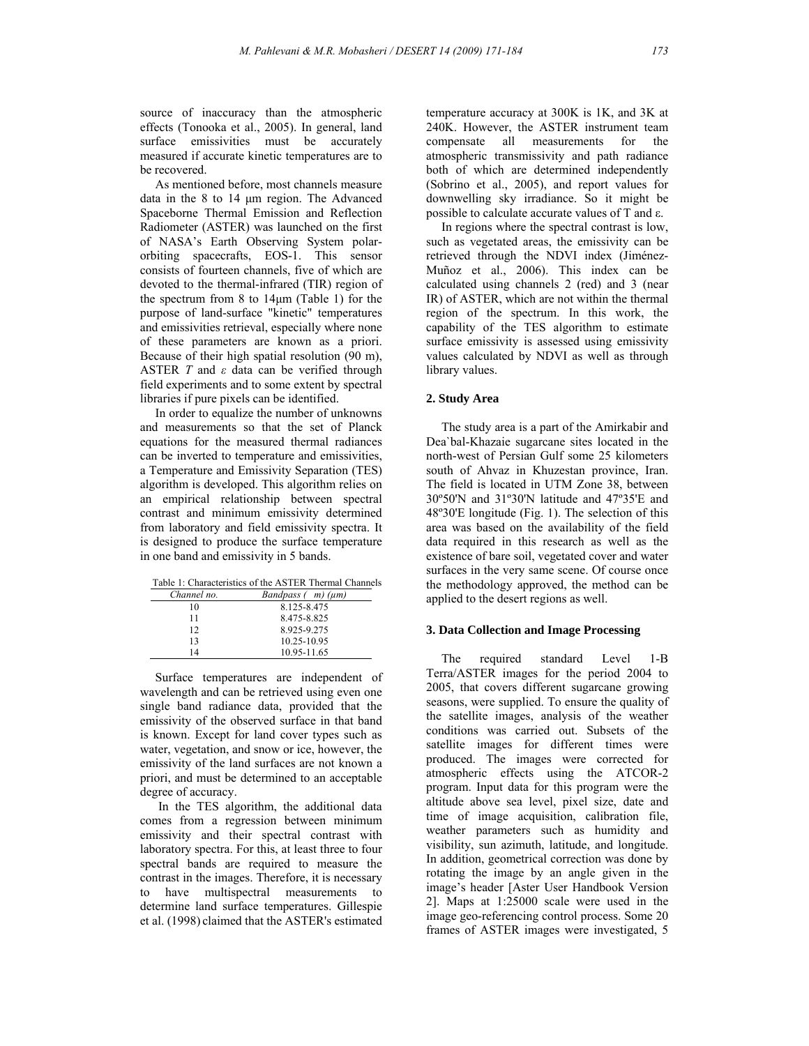source of inaccuracy than the atmospheric effects (Tonooka et al., 2005). In general, land surface emissivities must be accurately measured if accurate kinetic temperatures are to be recovered.

 As mentioned before, most channels measure data in the 8 to 14 μm region. The Advanced Spaceborne Thermal Emission and Reflection Radiometer (ASTER) was launched on the first of NASA's Earth Observing System polarorbiting spacecrafts, EOS-1. This sensor consists of fourteen channels, five of which are devoted to the thermal-infrared (TIR) region of the spectrum from 8 to 14μm (Table 1) for the purpose of land-surface "kinetic" temperatures and emissivities retrieval, especially where none of these parameters are known as a priori. Because of their high spatial resolution (90 m), ASTER *T* and *ε* data can be verified through field experiments and to some extent by spectral libraries if pure pixels can be identified.

 In order to equalize the number of unknowns and measurements so that the set of Planck equations for the measured thermal radiances can be inverted to temperature and emissivities, a Temperature and Emissivity Separation (TES) algorithm is developed. This algorithm relies on an empirical relationship between spectral contrast and minimum emissivity determined from laboratory and field emissivity spectra. It is designed to produce the surface temperature in one band and emissivity in 5 bands.

|  |  | Table 1: Characteristics of the ASTER Thermal Channels |  |  |  |  |
|--|--|--------------------------------------------------------|--|--|--|--|
|--|--|--------------------------------------------------------|--|--|--|--|

| Channel no. | Bandpass $(m)(\mu m)$ |
|-------------|-----------------------|
| 10          | 8.125-8.475           |
| 11          | 8.475-8.825           |
| 12          | 8.925-9.275           |
| 13          | 10.25-10.95           |
| 14          | 10.95-11.65           |

 Surface temperatures are independent of wavelength and can be retrieved using even one single band radiance data, provided that the emissivity of the observed surface in that band is known. Except for land cover types such as water, vegetation, and snow or ice, however, the emissivity of the land surfaces are not known a priori, and must be determined to an acceptable degree of accuracy.

 In the TES algorithm, the additional data comes from a regression between minimum emissivity and their spectral contrast with laboratory spectra. For this, at least three to four spectral bands are required to measure the contrast in the images. Therefore, it is necessary to have multispectral measurements to determine land surface temperatures. Gillespie et al. (1998) claimed that the ASTER's estimated

temperature accuracy at 300K is 1K, and 3K at 240K. However, the ASTER instrument team compensate all measurements for the atmospheric transmissivity and path radiance both of which are determined independently (Sobrino et al., 2005), and report values for downwelling sky irradiance. So it might be possible to calculate accurate values of T and ε.

 In regions where the spectral contrast is low, such as vegetated areas, the emissivity can be retrieved through the NDVI index (Jiménez-Muñoz et al., 2006). This index can be calculated using channels 2 (red) and 3 (near IR) of ASTER, which are not within the thermal region of the spectrum. In this work, the capability of the TES algorithm to estimate surface emissivity is assessed using emissivity values calculated by NDVI as well as through library values.

## **2. Study Area**

 The study area is a part of the Amirkabir and Dea`bal-Khazaie sugarcane sites located in the north-west of Persian Gulf some 25 kilometers south of Ahvaz in Khuzestan province, Iran. The field is located in UTM Zone 38, between 30º50'N and 31º30'N latitude and 47º35'E and 48º30'E longitude (Fig. 1). The selection of this area was based on the availability of the field data required in this research as well as the existence of bare soil, vegetated cover and water surfaces in the very same scene. Of course once the methodology approved, the method can be applied to the desert regions as well.

## **3. Data Collection and Image Processing**

 The required standard Level 1-B Terra/ASTER images for the period 2004 to 2005, that covers different sugarcane growing seasons, were supplied. To ensure the quality of the satellite images, analysis of the weather conditions was carried out. Subsets of the satellite images for different times were produced. The images were corrected for atmospheric effects using the ATCOR-2 program. Input data for this program were the altitude above sea level, pixel size, date and time of image acquisition, calibration file, weather parameters such as humidity and visibility, sun azimuth, latitude, and longitude. In addition, geometrical correction was done by rotating the image by an angle given in the image's header [Aster User Handbook Version 2]. Maps at 1:25000 scale were used in the image geo-referencing control process. Some 20 frames of ASTER images were investigated, 5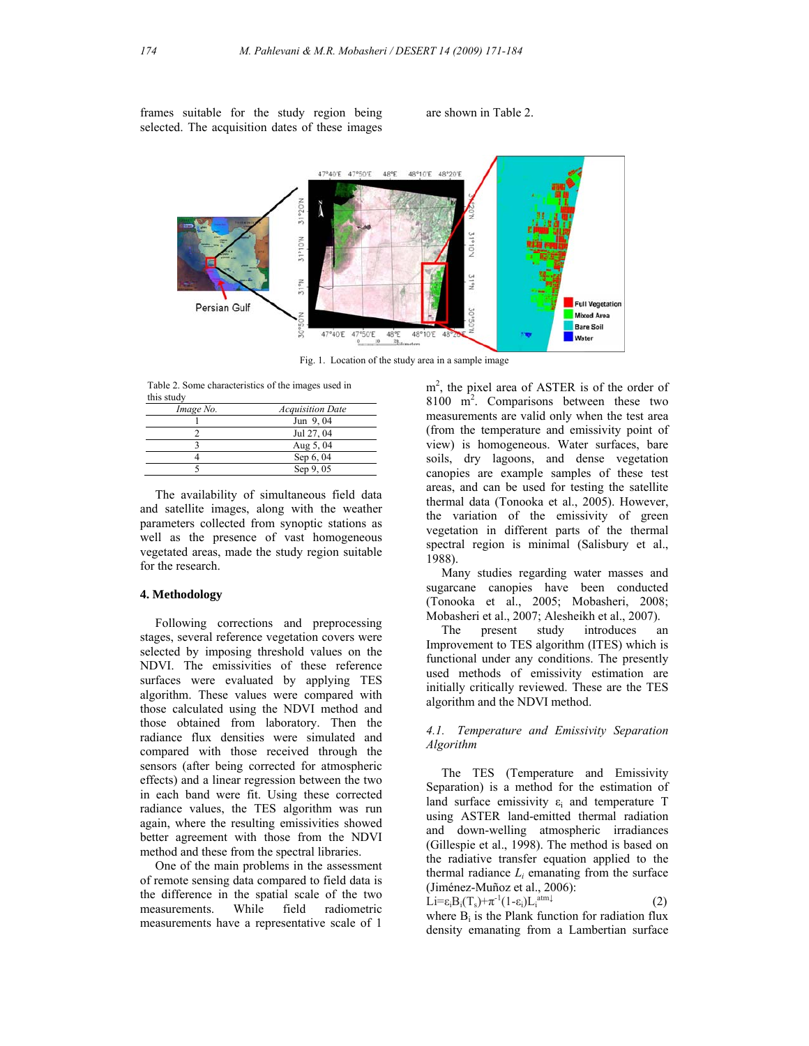frames suitable for the study region being selected. The acquisition dates of these images

are shown in Table 2.



Fig. 1. Location of the study area in a sample image

 Table 2. Some characteristics of the images used in this study

| Image No. | <b>Acquisition Date</b> |
|-----------|-------------------------|
|           | Jun 9,04                |
|           | Jul 27, 04              |
|           | Aug 5, 04               |
|           | Sep 6, 04               |
|           | Sep 9, 05               |

 The availability of simultaneous field data and satellite images, along with the weather parameters collected from synoptic stations as well as the presence of vast homogeneous vegetated areas, made the study region suitable for the research.

### **4. Methodology**

 Following corrections and preprocessing stages, several reference vegetation covers were selected by imposing threshold values on the NDVI. The emissivities of these reference surfaces were evaluated by applying TES algorithm. These values were compared with those calculated using the NDVI method and those obtained from laboratory. Then the radiance flux densities were simulated and compared with those received through the sensors (after being corrected for atmospheric effects) and a linear regression between the two in each band were fit. Using these corrected radiance values, the TES algorithm was run again, where the resulting emissivities showed better agreement with those from the NDVI method and these from the spectral libraries.

 One of the main problems in the assessment of remote sensing data compared to field data is the difference in the spatial scale of the two measurements. While field radiometric measurements have a representative scale of 1

m<sup>2</sup>, the pixel area of ASTER is of the order of 8100 m<sup>2</sup>. Comparisons between these two measurements are valid only when the test area (from the temperature and emissivity point of view) is homogeneous. Water surfaces, bare soils, dry lagoons, and dense vegetation canopies are example samples of these test areas, and can be used for testing the satellite thermal data (Tonooka et al., 2005). However, the variation of the emissivity of green vegetation in different parts of the thermal spectral region is minimal (Salisbury et al., 1988).

 Many studies regarding water masses and sugarcane canopies have been conducted (Tonooka et al., 2005; Mobasheri, 2008; Mobasheri et al., 2007; Alesheikh et al., 2007).

 The present study introduces an Improvement to TES algorithm (ITES) which is functional under any conditions. The presently used methods of emissivity estimation are initially critically reviewed. These are the TES algorithm and the NDVI method.

# *4.1. Temperature and Emissivity Separation Algorithm*

 The TES (Temperature and Emissivity Separation) is a method for the estimation of land surface emissivity  $\varepsilon_i$  and temperature T using ASTER land-emitted thermal radiation and down-welling atmospheric irradiances (Gillespie et al., 1998). The method is based on the radiative transfer equation applied to the thermal radiance  $L_i$  emanating from the surface (Jiménez-Muñoz et al., 2006):

$$
\dot{\mathbf{L}}\mathbf{i} = \varepsilon_i \mathbf{B}_i(\mathbf{T}_s) + \pi^{-1} (1 - \varepsilon_i) \mathbf{L}_i^{\text{atm}\downarrow} \tag{2}
$$

where  $B_i$  is the Plank function for radiation flux density emanating from a Lambertian surface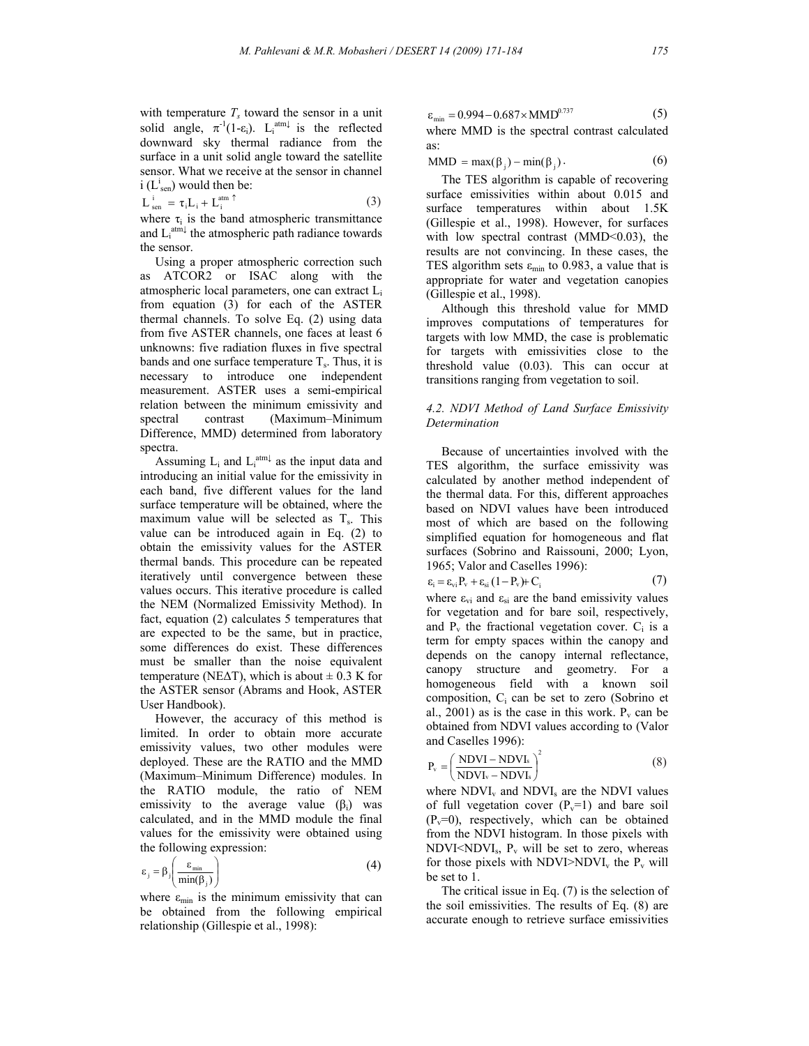with temperature  $T_s$  toward the sensor in a unit solid angle,  $\pi^{-1}(1-\epsilon_i)$ . L<sub>i</sub><sup>atm $\downarrow$ </sup> is the reflected downward sky thermal radiance from the surface in a unit solid angle toward the satellite sensor. What we receive at the sensor in channel  $i$  ( $L^{i}$ <sub>sen</sub>) would then be:

$$
L_{sen}^{i} = \tau_i L_i + L_i^{atm \uparrow}
$$
 (3)

where  $\tau_i$  is the band atmospheric transmittance and  $L_i^{atm\downarrow}$  the atmospheric path radiance towards the sensor.

 Using a proper atmospheric correction such as ATCOR2 or ISAC along with the atmospheric local parameters, one can extract Li from equation (3) for each of the ASTER thermal channels. To solve Eq. (2) using data from five ASTER channels, one faces at least 6 unknowns: five radiation fluxes in five spectral bands and one surface temperature  $T_s$ . Thus, it is necessary to introduce one independent measurement. ASTER uses a semi-empirical relation between the minimum emissivity and spectral contrast (Maximum–Minimum Difference, MMD) determined from laboratory spectra.

Assuming  $L_i$  and  $L_i^{\text{atm}\downarrow}$  as the input data and introducing an initial value for the emissivity in each band, five different values for the land surface temperature will be obtained, where the maximum value will be selected as  $T_s$ . This value can be introduced again in Eq. (2) to obtain the emissivity values for the ASTER thermal bands. This procedure can be repeated iteratively until convergence between these values occurs. This iterative procedure is called the NEM (Normalized Emissivity Method). In fact, equation (2) calculates 5 temperatures that are expected to be the same, but in practice, some differences do exist. These differences must be smaller than the noise equivalent temperature (NE $\Delta$ T), which is about  $\pm$  0.3 K for the ASTER sensor (Abrams and Hook, ASTER User Handbook).

 However, the accuracy of this method is limited. In order to obtain more accurate emissivity values, two other modules were deployed. These are the RATIO and the MMD (Maximum–Minimum Difference) modules. In the RATIO module, the ratio of NEM emissivity to the average value  $(\beta_i)$  was calculated, and in the MMD module the final values for the emissivity were obtained using the following expression:

$$
\varepsilon_{j} = \beta_{j} \left( \frac{\varepsilon_{\min}}{\min(\beta_{j})} \right) \tag{4}
$$

where  $\varepsilon_{\min}$  is the minimum emissivity that can be obtained from the following empirical relationship (Gillespie et al., 1998):

$$
\varepsilon_{\min} = 0.994 - 0.687 \times \text{MMD}^{0.737} \tag{5}
$$

where MMD is the spectral contrast calculated as:

 $MMD = \max(\beta_i) - \min(\beta_i)$  . (6)

 The TES algorithm is capable of recovering surface emissivities within about 0.015 and surface temperatures within about 1.5K (Gillespie et al., 1998). However, for surfaces with low spectral contrast (MMD<0.03), the results are not convincing. In these cases, the TES algorithm sets  $\varepsilon_{\min}$  to 0.983, a value that is appropriate for water and vegetation canopies (Gillespie et al., 1998).

 Although this threshold value for MMD improves computations of temperatures for targets with low MMD, the case is problematic for targets with emissivities close to the threshold value (0.03). This can occur at transitions ranging from vegetation to soil.

## *4.2. NDVI Method of Land Surface Emissivity Determination*

 Because of uncertainties involved with the TES algorithm, the surface emissivity was calculated by another method independent of the thermal data. For this, different approaches based on NDVI values have been introduced most of which are based on the following simplified equation for homogeneous and flat surfaces (Sobrino and Raissouni, 2000; Lyon, 1965; Valor and Caselles 1996):

$$
\varepsilon_{i} = \varepsilon_{vi} P_{v} + \varepsilon_{si} (1 - P_{v}) + C_{i}
$$
 (7)

where  $\varepsilon_{vi}$  and  $\varepsilon_{si}$  are the band emissivity values for vegetation and for bare soil, respectively, and  $P_v$  the fractional vegetation cover.  $C_i$  is a term for empty spaces within the canopy and depends on the canopy internal reflectance, canopy structure and geometry. For a homogeneous field with a known soil composition, Ci can be set to zero (Sobrino et al., 2001) as is the case in this work.  $P_v$  can be obtained from NDVI values according to (Valor and Caselles 1996):

$$
P_v = \left(\frac{NDVI - NDVI_s}{NDVI_v - NDVI_s}\right)^2\tag{8}
$$

where  $NDVI<sub>v</sub>$  and  $NDVI<sub>s</sub>$  are the NDVI values of full vegetation cover  $(P_v=1)$  and bare soil  $(P_v=0)$ , respectively, which can be obtained from the NDVI histogram. In those pixels with  $NDVI \leq NDVI_s$ ,  $P_v$  will be set to zero, whereas for those pixels with  $NDVI > NDVI$ <sub>v</sub> the  $P_v$  will be set to 1.

 The critical issue in Eq. (7) is the selection of the soil emissivities. The results of Eq. (8) are accurate enough to retrieve surface emissivities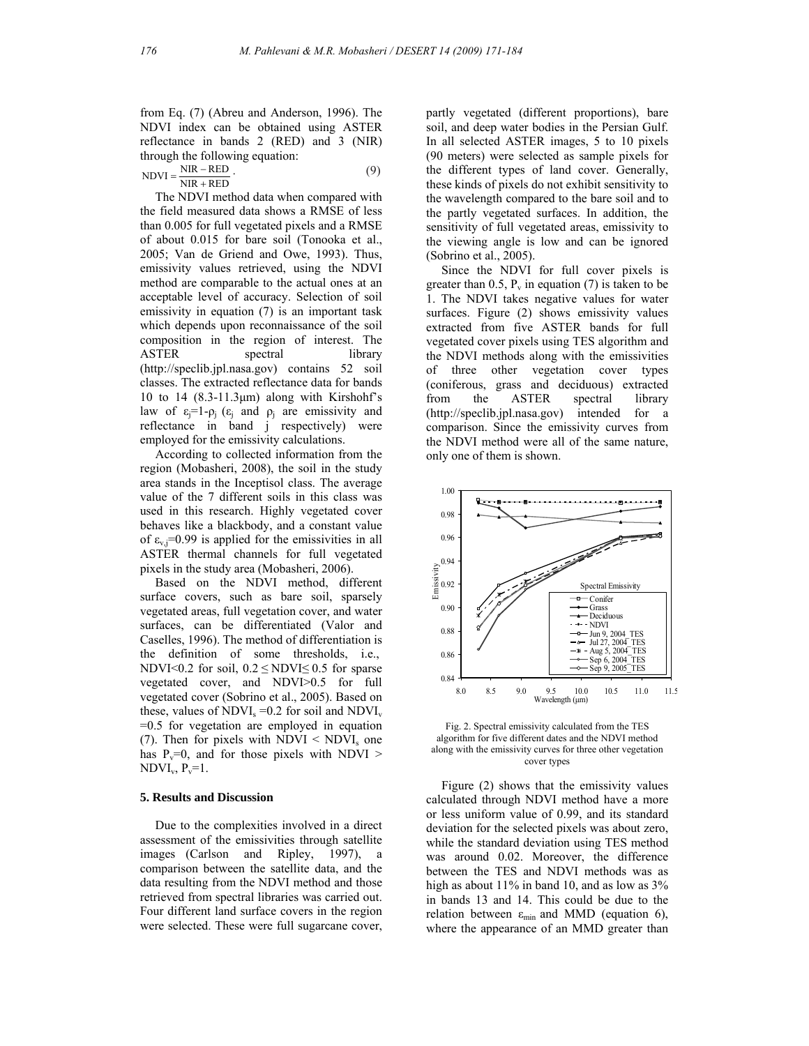from Eq. (7) (Abreu and Anderson, 1996). The NDVI index can be obtained using ASTER reflectance in bands 2 (RED) and 3 (NIR) through the following equation:

 $NDVI = \frac{NIR - RED}{NIR + RED}$  $NDVI = \frac{NIR - RED}{I}$  (9)

 The NDVI method data when compared with the field measured data shows a RMSE of less than 0.005 for full vegetated pixels and a RMSE of about 0.015 for bare soil (Tonooka et al., 2005; Van de Griend and Owe, 1993). Thus, emissivity values retrieved, using the NDVI method are comparable to the actual ones at an acceptable level of accuracy. Selection of soil emissivity in equation (7) is an important task which depends upon reconnaissance of the soil composition in the region of interest. The ASTER spectral library (http://speclib.jpl.nasa.gov) contains 52 soil classes. The extracted reflectance data for bands 10 to 14  $(8.3-11.3\mu m)$  along with Kirshohf's law of  $\varepsilon_i=1-\rho_i$  ( $\varepsilon_i$  and  $\rho_i$  are emissivity and reflectance in band j respectively) were employed for the emissivity calculations.

 According to collected information from the region (Mobasheri, 2008), the soil in the study area stands in the Inceptisol class. The average value of the 7 different soils in this class was used in this research. Highly vegetated cover behaves like a blackbody, and a constant value of  $\varepsilon_v$ <sub>i</sub>=0.99 is applied for the emissivities in all ASTER thermal channels for full vegetated pixels in the study area (Mobasheri, 2006).

 Based on the NDVI method, different surface covers, such as bare soil, sparsely vegetated areas, full vegetation cover, and water surfaces, can be differentiated (Valor and Caselles, 1996). The method of differentiation is the definition of some thresholds, i.e., NDVI<0.2 for soil,  $0.2 \leq NDVI \leq 0.5$  for sparse vegetated cover, and NDVI>0.5 for full vegetated cover (Sobrino et al., 2005). Based on these, values of  $NDVI_s = 0.2$  for soil and  $NDVI_v$ =0.5 for vegetation are employed in equation (7). Then for pixels with  $NDVI < NDVI<sub>s</sub>$  one has  $P_v=0$ , and for those pixels with NDVI >  $NDVI_v$ ,  $P_v=1$ .

## **5. Results and Discussion**

 Due to the complexities involved in a direct assessment of the emissivities through satellite images (Carlson and Ripley, 1997), a comparison between the satellite data, and the data resulting from the NDVI method and those retrieved from spectral libraries was carried out. Four different land surface covers in the region were selected. These were full sugarcane cover, partly vegetated (different proportions), bare soil, and deep water bodies in the Persian Gulf. In all selected ASTER images, 5 to 10 pixels (90 meters) were selected as sample pixels for the different types of land cover. Generally, these kinds of pixels do not exhibit sensitivity to the wavelength compared to the bare soil and to the partly vegetated surfaces. In addition, the sensitivity of full vegetated areas, emissivity to the viewing angle is low and can be ignored (Sobrino et al., 2005).

 Since the NDVI for full cover pixels is greater than  $0.5$ ,  $P_v$  in equation (7) is taken to be 1. The NDVI takes negative values for water surfaces. Figure (2) shows emissivity values extracted from five ASTER bands for full vegetated cover pixels using TES algorithm and the NDVI methods along with the emissivities of three other vegetation cover types (coniferous, grass and deciduous) extracted from the ASTER spectral library (http://speclib.jpl.nasa.gov) intended for a comparison. Since the emissivity curves from the NDVI method were all of the same nature, only one of them is shown.



Fig. 2. Spectral emissivity calculated from the TES algorithm for five different dates and the NDVI method along with the emissivity curves for three other vegetation cover types

 Figure (2) shows that the emissivity values calculated through NDVI method have a more or less uniform value of 0.99, and its standard deviation for the selected pixels was about zero, while the standard deviation using TES method was around 0.02. Moreover, the difference between the TES and NDVI methods was as high as about 11% in band 10, and as low as  $3\%$ in bands 13 and 14. This could be due to the relation between  $\varepsilon_{\min}$  and MMD (equation 6), where the appearance of an MMD greater than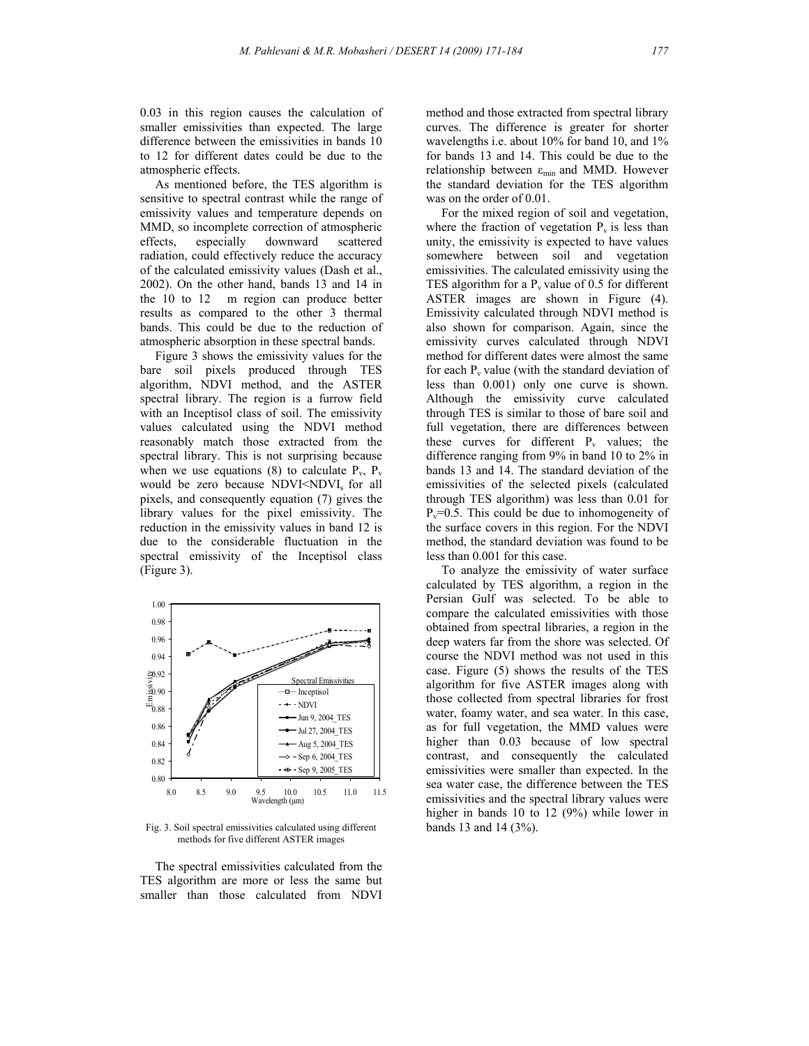0.03 in this region causes the calculation of smaller emissivities than expected. The large difference between the emissivities in bands 10 to 12 for different dates could be due to the atmospheric effects.

 As mentioned before, the TES algorithm is sensitive to spectral contrast while the range of emissivity values and temperature depends on MMD, so incomplete correction of atmospheric effects, especially downward scattered radiation, could effectively reduce the accuracy of the calculated emissivity values (Dash et al., 2002). On the other hand, bands 13 and 14 in the 10 to 12 m region can produce better results as compared to the other 3 thermal bands. This could be due to the reduction of atmospheric absorption in these spectral bands.

 Figure 3 shows the emissivity values for the bare soil pixels produced through TES algorithm, NDVI method, and the ASTER spectral library. The region is a furrow field with an Inceptisol class of soil. The emissivity values calculated using the NDVI method reasonably match those extracted from the spectral library. This is not surprising because when we use equations (8) to calculate  $P_v$ ,  $P_v$ would be zero because NDVI<NDVI<sub>s</sub> for all pixels, and consequently equation (7) gives the library values for the pixel emissivity. The reduction in the emissivity values in band 12 is due to the considerable fluctuation in the spectral emissivity of the Inceptisol class (Figure 3).



Fig. 3. Soil spectral emissivities calculated using different methods for five different ASTER images

 The spectral emissivities calculated from the TES algorithm are more or less the same but smaller than those calculated from NDVI method and those extracted from spectral library curves. The difference is greater for shorter wavelengths i.e. about 10% for band 10, and 1% for bands 13 and 14. This could be due to the relationship between  $\varepsilon_{\min}$  and MMD. However the standard deviation for the TES algorithm was on the order of 0.01.

 For the mixed region of soil and vegetation, where the fraction of vegetation  $P_v$  is less than unity, the emissivity is expected to have values somewhere between soil and vegetation emissivities. The calculated emissivity using the TES algorithm for a  $P_v$  value of 0.5 for different ASTER images are shown in Figure (4). Emissivity calculated through NDVI method is also shown for comparison. Again, since the emissivity curves calculated through NDVI method for different dates were almost the same for each  $P_y$  value (with the standard deviation of less than 0.001) only one curve is shown. Although the emissivity curve calculated through TES is similar to those of bare soil and full vegetation, there are differences between these curves for different  $P_v$  values; the difference ranging from 9% in band 10 to 2% in bands 13 and 14. The standard deviation of the emissivities of the selected pixels (calculated through TES algorithm) was less than 0.01 for  $P_v=0.5$ . This could be due to inhomogeneity of the surface covers in this region. For the NDVI method, the standard deviation was found to be less than 0.001 for this case.

 To analyze the emissivity of water surface calculated by TES algorithm, a region in the Persian Gulf was selected. To be able to compare the calculated emissivities with those obtained from spectral libraries, a region in the deep waters far from the shore was selected. Of course the NDVI method was not used in this case. Figure (5) shows the results of the TES algorithm for five ASTER images along with those collected from spectral libraries for frost water, foamy water, and sea water. In this case, as for full vegetation, the MMD values were higher than 0.03 because of low spectral contrast, and consequently the calculated emissivities were smaller than expected. In the sea water case, the difference between the TES emissivities and the spectral library values were higher in bands 10 to 12 (9%) while lower in bands 13 and 14 (3%).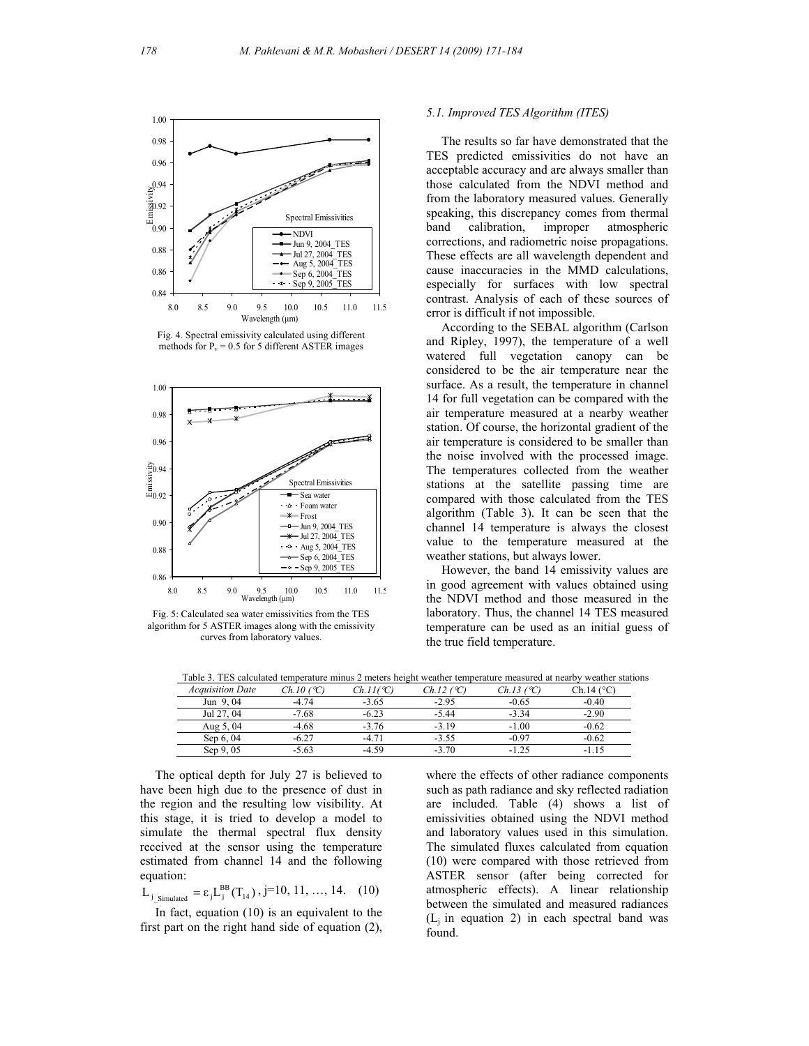

Fig. 4. Spectral emissivity calculated using different methods for  $P_v = 0.5$  for 5 different ASTER images



Fig. 5: Calculated sea water emissivities from the TES algorithm for 5 ASTER images along with the emissivity curves from laboratory values.

## *5.1. Improved TES Algorithm (ITES)*

 The results so far have demonstrated that the TES predicted emissivities do not have an acceptable accuracy and are always smaller than those calculated from the NDVI method and from the laboratory measured values. Generally speaking, this discrepancy comes from thermal band calibration, improper atmospheric corrections, and radiometric noise propagations. These effects are all wavelength dependent and cause inaccuracies in the MMD calculations, especially for surfaces with low spectral contrast. Analysis of each of these sources of error is difficult if not impossible.

 According to the SEBAL algorithm (Carlson and Ripley, 1997), the temperature of a well watered full vegetation canopy can be considered to be the air temperature near the surface. As a result, the temperature in channel 14 for full vegetation can be compared with the air temperature measured at a nearby weather station. Of course, the horizontal gradient of the air temperature is considered to be smaller than the noise involved with the processed image. The temperatures collected from the weather stations at the satellite passing time are compared with those calculated from the TES algorithm (Table 3). It can be seen that the channel 14 temperature is always the closest value to the temperature measured at the weather stations, but always lower.

 However, the band 14 emissivity values are in good agreement with values obtained using the NDVI method and those measured in the laboratory. Thus, the channel 14 TES measured temperature can be used as an initial guess of the true field temperature.

Table 3. TES calculated temperature minus 2 meters height weather temperature measured at nearby weather stations

| <b>Acquisition Date</b> | Ch.10 (°C. | $Ch.II$ (C) | Ch.12 (°C) | Ch.13 (°C) | Ch 14 (°C |
|-------------------------|------------|-------------|------------|------------|-----------|
| Jun 9,04                | $-4.74$    | $-3.65$     | $-2.95$    | $-0.65$    | $-0.40$   |
| Jul 27, 04              | $-7.68$    | $-6.23$     | $-5.44$    | $-3, 34$   | $-2.90$   |
| Aug 5, 04               | $-4.68$    | $-3.76$     | $-3.19$    | $-1.00$    | $-0.62$   |
| Sep 6, 04               | $-6.27$    | -4.71       | $-3.55$    | $-0.97$    | $-0.62$   |
| Sep 9, 05               | $-5.63$    | $-4.59$     | $-3.70$    | $-125$     | -115      |

 The optical depth for July 27 is believed to have been high due to the presence of dust in the region and the resulting low visibility. At this stage, it is tried to develop a model to simulate the thermal spectral flux density received at the sensor using the temperature estimated from channel 14 and the following equation:

$$
L_{j\_Simulated} = \epsilon_j L_j^{BB}(T_{14}), j=10, 11, ..., 14. (10)
$$

 In fact, equation (10) is an equivalent to the first part on the right hand side of equation (2), where the effects of other radiance components such as path radiance and sky reflected radiation are included. Table (4) shows a list of emissivities obtained using the NDVI method and laboratory values used in this simulation. The simulated fluxes calculated from equation (10) were compared with those retrieved from ASTER sensor (after being corrected for atmospheric effects). A linear relationship between the simulated and measured radiances  $(L<sub>i</sub>$  in equation 2) in each spectral band was found.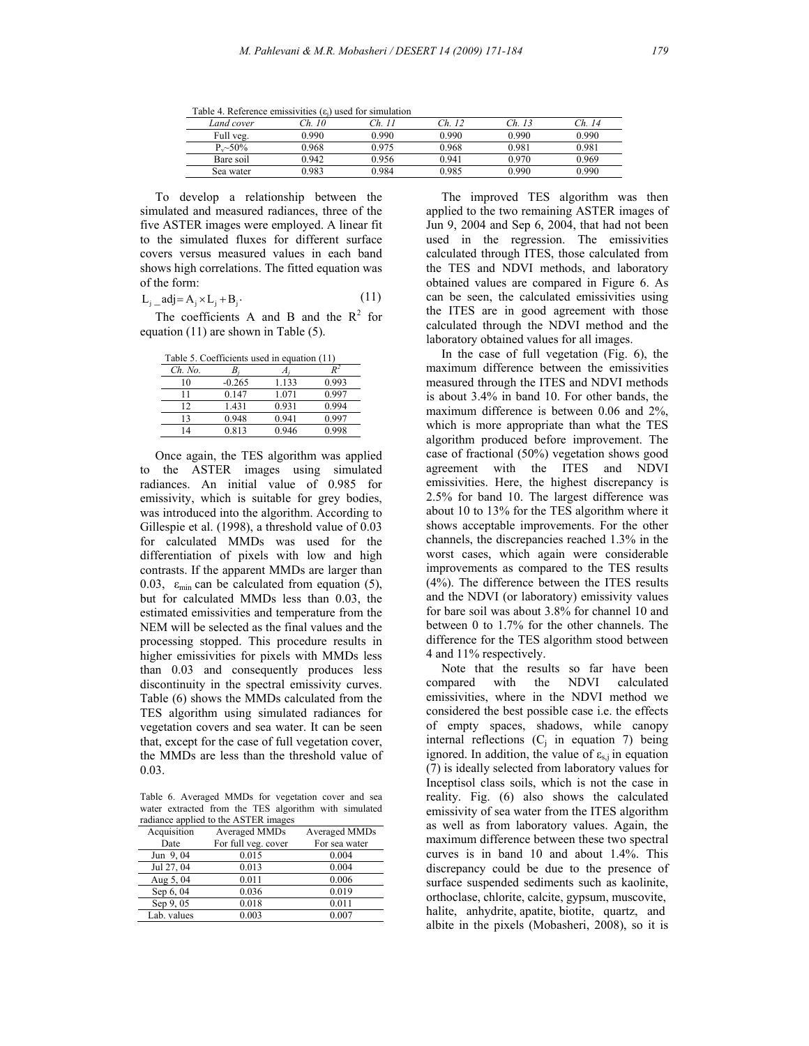Table 4. Reference emissivities  $(\epsilon_i)$  used for simulation

| Land cover   | 10<br>$\gamma_h$ | $\mathcal{L}_{\mathbf{h}}$ | $\gamma_h$ | $\gamma_h$ | $\gamma_h$ |
|--------------|------------------|----------------------------|------------|------------|------------|
| Full veg.    | 0.990            | 0.990                      | 0.990      | 0.990      | 0.990      |
| $P_{v}$ ~50% | 0.968            | 0 975                      | 0.968      | 0.981      | 0.981      |
| Bare soil    | 0.942            | 0.956                      | 0 941      | 0.970      | 0.969      |
| Sea water    | 0.983            | 0.984                      | 0.985      | 0.990      | 0.990      |

 To develop a relationship between the simulated and measured radiances, three of the five ASTER images were employed. A linear fit to the simulated fluxes for different surface covers versus measured values in each band shows high correlations. The fitted equation was of the form:

$$
L_{i} = adj = A_{i} \times L_{i} + B_{i}.
$$
 (11)

The coefficients A and B and the  $R^2$  for equation (11) are shown in Table (5).

| Table 5. Coefficients used in equation (11) |          |       |       |  |
|---------------------------------------------|----------|-------|-------|--|
| $Ch.$ No.                                   |          |       |       |  |
| 10                                          | $-0.265$ | 1.133 | 0.993 |  |
| 11                                          | 0.147    | 1.071 | 0.997 |  |
| ר ו                                         | 1.431    | 0.931 | 0.994 |  |
| 13                                          | 0.948    | 0.941 | 0.997 |  |
|                                             | 0.813    | 0.946 | 0.998 |  |

 Once again, the TES algorithm was applied to the ASTER images using simulated radiances. An initial value of 0.985 for emissivity, which is suitable for grey bodies, was introduced into the algorithm. According to Gillespie et al. (1998), a threshold value of 0.03 for calculated MMDs was used for the differentiation of pixels with low and high contrasts. If the apparent MMDs are larger than 0.03,  $\varepsilon_{\min}$  can be calculated from equation (5), but for calculated MMDs less than 0.03, the estimated emissivities and temperature from the NEM will be selected as the final values and the processing stopped. This procedure results in higher emissivities for pixels with MMDs less than 0.03 and consequently produces less discontinuity in the spectral emissivity curves. Table (6) shows the MMDs calculated from the TES algorithm using simulated radiances for vegetation covers and sea water. It can be seen that, except for the case of full vegetation cover, the MMDs are less than the threshold value of 0.03.

Table 6. Averaged MMDs for vegetation cover and sea water extracted from the TES algorithm with simulated  $radianee$  applied to the  $\Lambda$ STED in

| radiance applied to the AbTER mages |                     |               |  |  |  |
|-------------------------------------|---------------------|---------------|--|--|--|
| Acquisition                         | Averaged MMDs       | Averaged MMDs |  |  |  |
| Date                                | For full veg. cover | For sea water |  |  |  |
| Jun 9,04                            | 0.015               | 0.004         |  |  |  |
| Jul 27, 04                          | 0.013               | 0.004         |  |  |  |
| Aug 5, 04                           | 0.011               | 0.006         |  |  |  |
| Sep 6, 04                           | 0.036               | 0.019         |  |  |  |
| Sep 9, 05                           | 0.018               | 0.011         |  |  |  |
| Lab. values                         | 0.003               | 0.007         |  |  |  |

 The improved TES algorithm was then applied to the two remaining ASTER images of Jun 9, 2004 and Sep 6, 2004, that had not been used in the regression. The emissivities calculated through ITES, those calculated from the TES and NDVI methods, and laboratory obtained values are compared in Figure 6. As can be seen, the calculated emissivities using the ITES are in good agreement with those calculated through the NDVI method and the laboratory obtained values for all images.

 In the case of full vegetation (Fig. 6), the maximum difference between the emissivities measured through the ITES and NDVI methods is about 3.4% in band 10. For other bands, the maximum difference is between 0.06 and 2%, which is more appropriate than what the TES algorithm produced before improvement. The case of fractional (50%) vegetation shows good agreement with the ITES and NDVI emissivities. Here, the highest discrepancy is 2.5% for band 10. The largest difference was about 10 to 13% for the TES algorithm where it shows acceptable improvements. For the other channels, the discrepancies reached 1.3% in the worst cases, which again were considerable improvements as compared to the TES results (4%). The difference between the ITES results and the NDVI (or laboratory) emissivity values for bare soil was about 3.8% for channel 10 and between 0 to 1.7% for the other channels. The difference for the TES algorithm stood between 4 and 11% respectively.

 Note that the results so far have been compared with the NDVI calculated emissivities, where in the NDVI method we considered the best possible case i.e. the effects of empty spaces, shadows, while canopy internal reflections  $(C_j$  in equation 7) being ignored. In addition, the value of  $\varepsilon_{s,j}$  in equation (7) is ideally selected from laboratory values for Inceptisol class soils, which is not the case in reality. Fig. (6) also shows the calculated emissivity of sea water from the ITES algorithm as well as from laboratory values. Again, the maximum difference between these two spectral curves is in band 10 and about 1.4%. This discrepancy could be due to the presence of surface suspended sediments such as kaolinite, orthoclase, chlorite, calcite, gypsum, muscovite, halite, anhydrite, apatite, biotite, quartz, and albite in the pixels (Mobasheri, 2008), so it is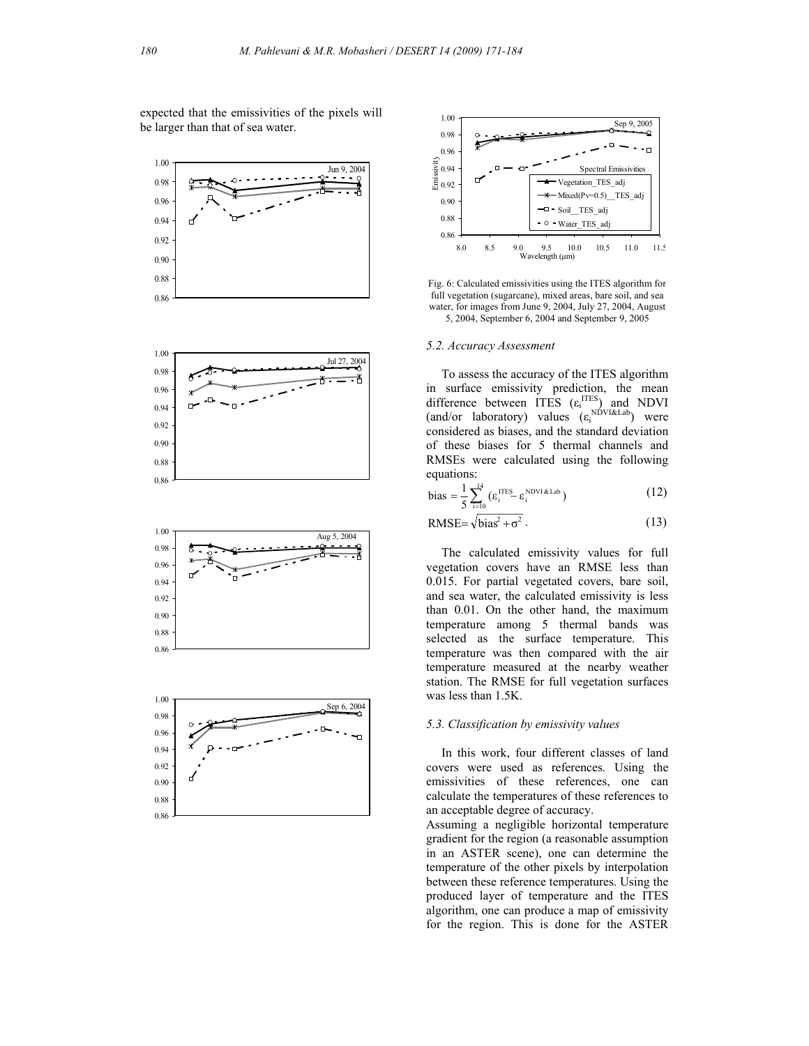expected that the emissivities of the pixels will be larger than that of sea water.











Fig. 6: Calculated emissivities using the ITES algorithm for full vegetation (sugarcane), mixed areas, bare soil, and sea water, for images from June 9, 2004, July 27, 2004, August 5, 2004, September 6, 2004 and September 9, 2005

#### *5.2. Accuracy Assessment*

 To assess the accuracy of the ITES algorithm in surface emissivity prediction, the mean difference between ITES  $(\epsilon_i^{\text{ITES}})$  and NDVI (and/or laboratory) values  $(\varepsilon_i^{\text{NDVIRLab}})$  were considered as biases, and the standard deviation of these biases for 5 thermal channels and RMSEs were calculated using the following equations:

bias = 
$$
\frac{1}{5} \sum_{i=10}^{14} (\epsilon_i^{\text{ITES}} - \epsilon_i^{\text{NDVI & Lab}})
$$
 (12)

$$
RMSE = \sqrt{bias^2 + \sigma^2} \,. \tag{13}
$$

 The calculated emissivity values for full vegetation covers have an RMSE less than 0.015. For partial vegetated covers, bare soil, and sea water, the calculated emissivity is less than 0.01. On the other hand, the maximum temperature among 5 thermal bands was selected as the surface temperature. This temperature was then compared with the air temperature measured at the nearby weather station. The RMSE for full vegetation surfaces was less than 1.5K.

## *5.3. Classification by emissivity values*

 In this work, four different classes of land covers were used as references. Using the emissivities of these references, one can calculate the temperatures of these references to an acceptable degree of accuracy.

Assuming a negligible horizontal temperature gradient for the region (a reasonable assumption in an ASTER scene), one can determine the temperature of the other pixels by interpolation between these reference temperatures. Using the produced layer of temperature and the ITES algorithm, one can produce a map of emissivity for the region. This is done for the ASTER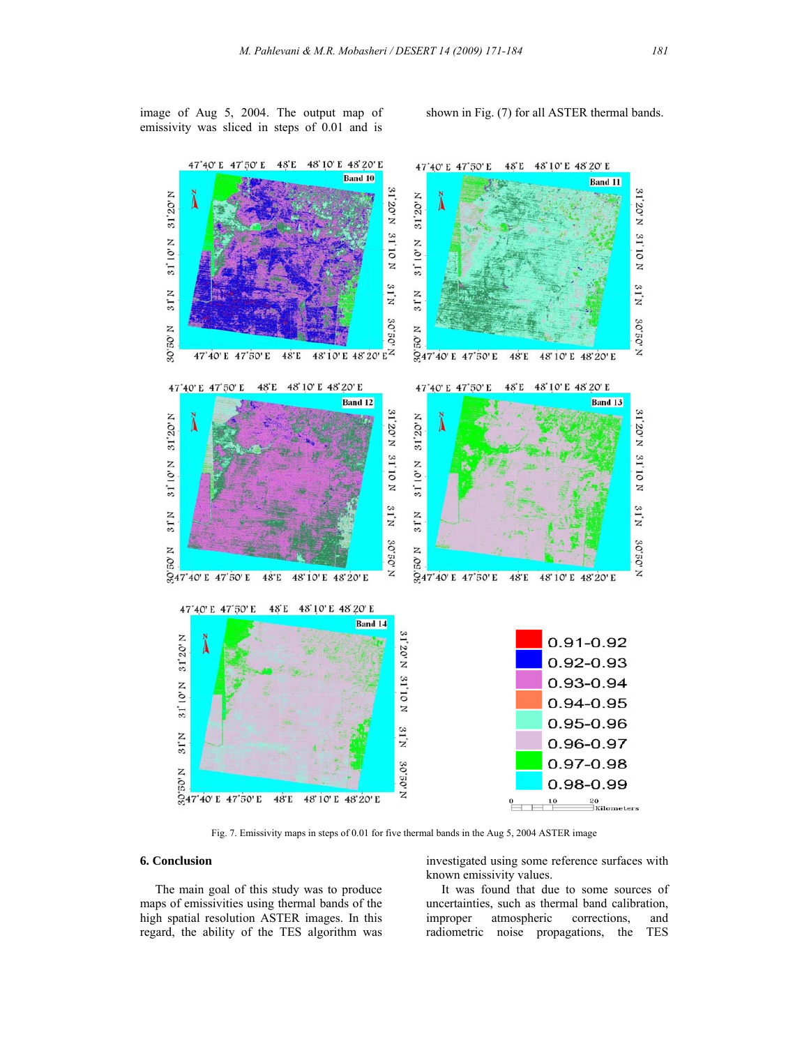image of Aug 5, 2004. The output map of emissivity was sliced in steps of 0.01 and is shown in Fig. (7) for all ASTER thermal bands.



Fig. 7. Emissivity maps in steps of 0.01 for five thermal bands in the Aug 5, 2004 ASTER image

## **6. Conclusion**

 The main goal of this study was to produce maps of emissivities using thermal bands of the high spatial resolution ASTER images. In this regard, the ability of the TES algorithm was

investigated using some reference surfaces with known emissivity values.

 It was found that due to some sources of uncertainties, such as thermal band calibration, improper atmospheric corrections, and radiometric noise propagations, the TES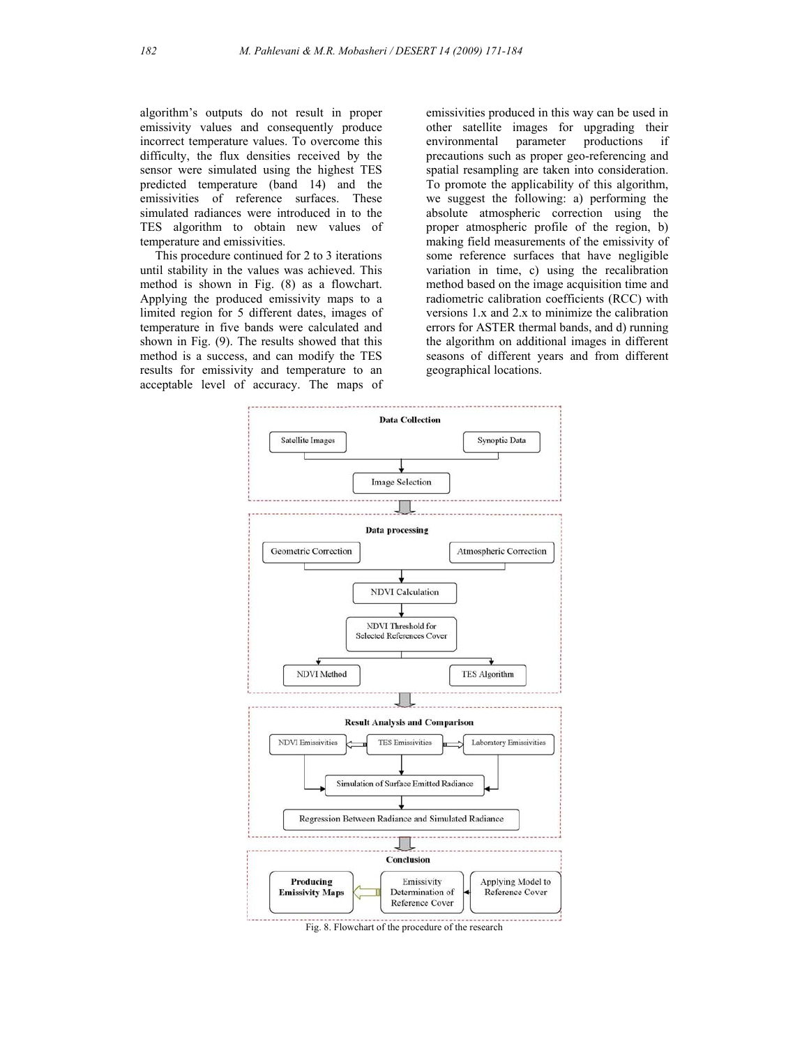algorithm's outputs do not result in proper emissivity values and consequently produce incorrect temperature values. To overcome this difficulty, the flux densities received by the sensor were simulated using the highest TES predicted temperature (band 14) and the emissivities of reference surfaces. These simulated radiances were introduced in to the TES algorithm to obtain new values of temperature and emissivities.

 This procedure continued for 2 to 3 iterations until stability in the values was achieved. This method is shown in Fig. (8) as a flowchart. Applying the produced emissivity maps to a limited region for 5 different dates, images of temperature in five bands were calculated and shown in Fig. (9). The results showed that this method is a success, and can modify the TES results for emissivity and temperature to an acceptable level of accuracy. The maps of emissivities produced in this way can be used in other satellite images for upgrading their environmental parameter productions if precautions such as proper geo-referencing and spatial resampling are taken into consideration. To promote the applicability of this algorithm, we suggest the following: a) performing the absolute atmospheric correction using the proper atmospheric profile of the region, b) making field measurements of the emissivity of some reference surfaces that have negligible variation in time, c) using the recalibration method based on the image acquisition time and radiometric calibration coefficients (RCC) with versions 1.x and 2.x to minimize the calibration errors for ASTER thermal bands, and d) running the algorithm on additional images in different seasons of different years and from different geographical locations.



Fig. 8. Flowchart of the procedure of the research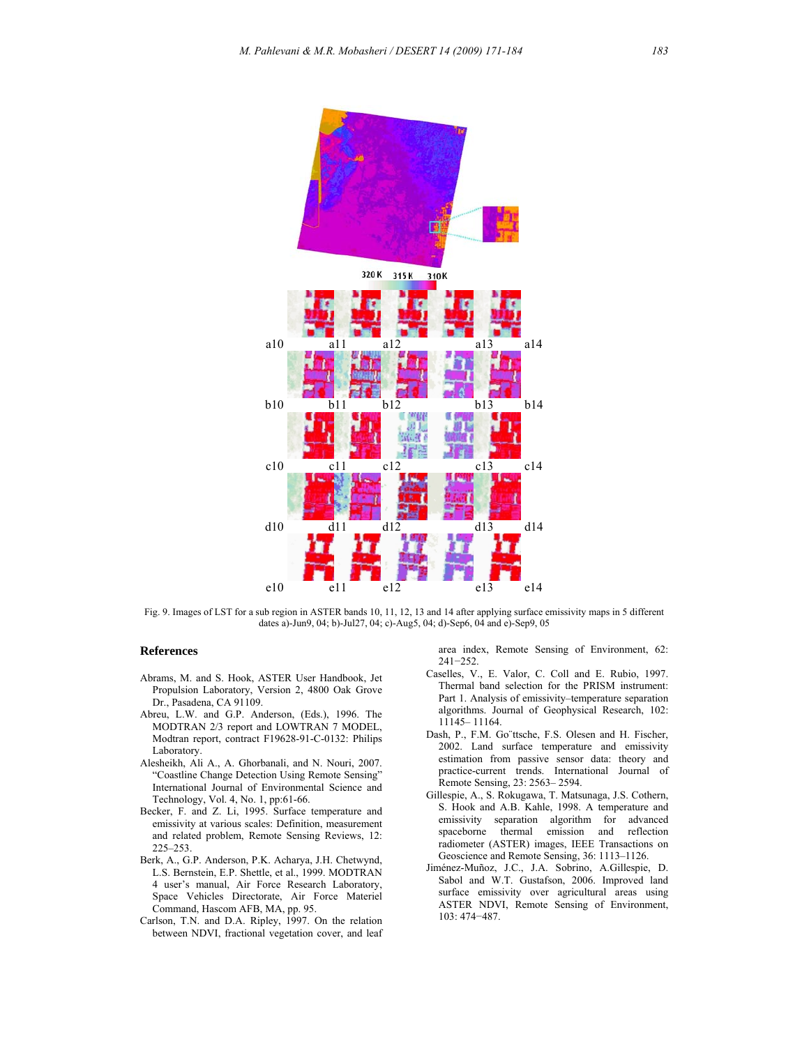

Fig. 9. Images of LST for a sub region in ASTER bands 10, 11, 12, 13 and 14 after applying surface emissivity maps in 5 different dates a)-Jun9, 04; b)-Jul27, 04; c)-Aug5, 04; d)-Sep6, 04 and e)-Sep9, 05

#### **References**

- Abrams, M. and S. Hook, ASTER User Handbook, Jet Propulsion Laboratory, Version 2, 4800 Oak Grove Dr., Pasadena, CA 91109.
- Abreu, L.W. and G.P. Anderson, (Eds.), 1996. The MODTRAN 2/3 report and LOWTRAN 7 MODEL, Modtran report, contract F19628-91-C-0132: Philips Laboratory.
- Alesheikh, Ali A., A. Ghorbanali, and N. Nouri, 2007. "Coastline Change Detection Using Remote Sensing" International Journal of Environmental Science and Technology, Vol. 4, No. 1, pp:61-66.
- Becker, F. and Z. Li, 1995. Surface temperature and emissivity at various scales: Definition, measurement and related problem, Remote Sensing Reviews, 12: 225–253.
- Berk, A., G.P. Anderson, P.K. Acharya, J.H. Chetwynd, L.S. Bernstein, E.P. Shettle, et al., 1999. MODTRAN 4 user's manual, Air Force Research Laboratory, Space Vehicles Directorate, Air Force Materiel Command, Hascom AFB, MA, pp. 95.
- Carlson, T.N. and D.A. Ripley, 1997. On the relation between NDVI, fractional vegetation cover, and leaf

area index, Remote Sensing of Environment, 62: 241−252.

- Caselles, V., E. Valor, C. Coll and E. Rubio, 1997. Thermal band selection for the PRISM instrument: Part 1. Analysis of emissivity–temperature separation algorithms. Journal of Geophysical Research, 102: 11145– 11164.
- Dash, P., F.M. Go¨ttsche, F.S. Olesen and H. Fischer, 2002. Land surface temperature and emissivity estimation from passive sensor data: theory and practice-current trends. International Journal of Remote Sensing, 23: 2563– 2594.
- Gillespie, A., S. Rokugawa, T. Matsunaga, J.S. Cothern, S. Hook and A.B. Kahle, 1998. A temperature and emissivity separation algorithm for advanced spaceborne thermal emission and reflection radiometer (ASTER) images, IEEE Transactions on Geoscience and Remote Sensing, 36: 1113–1126.
- Jiménez-Muñoz, J.C., J.A. Sobrino, A.Gillespie, D. Sabol and W.T. Gustafson, 2006. Improved land surface emissivity over agricultural areas using ASTER NDVI, Remote Sensing of Environment, 103: 474−487.